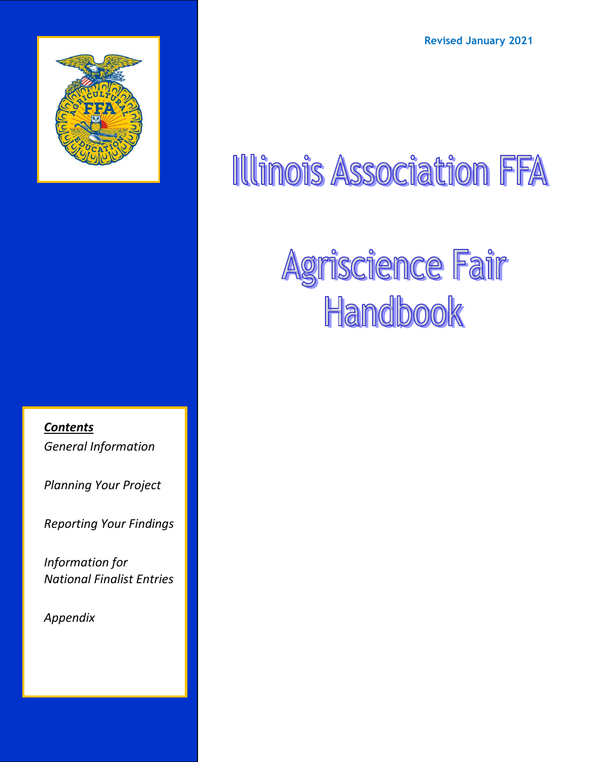

*Contents General Information*

*Planning Your Project*

*Reporting Your Findings* 

*Information for National Finalist Entries* 

*Appendix*

# **Illinois Association FFA**

# Agriscience Fair Handbook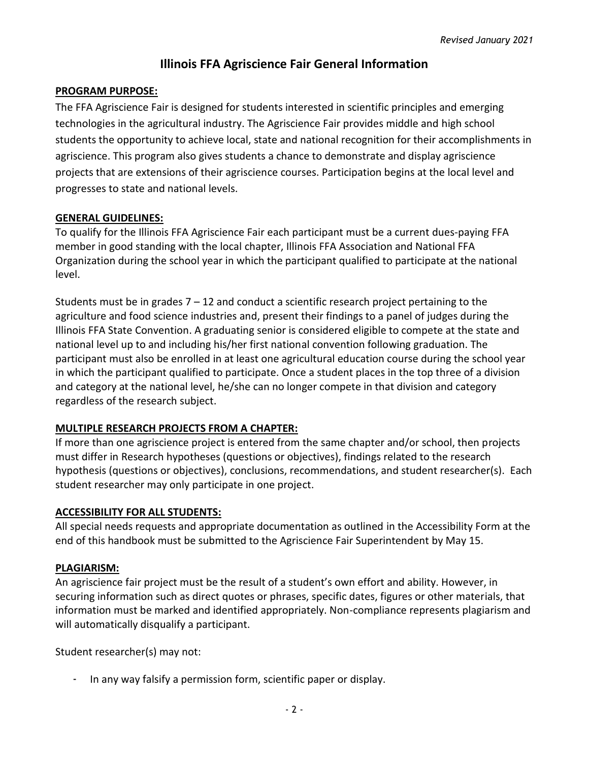#### **Illinois FFA Agriscience Fair General Information**

#### **PROGRAM PURPOSE:**

The FFA Agriscience Fair is designed for students interested in scientific principles and emerging technologies in the agricultural industry. The Agriscience Fair provides middle and high school students the opportunity to achieve local, state and national recognition for their accomplishments in agriscience. This program also gives students a chance to demonstrate and display agriscience projects that are extensions of their agriscience courses. Participation begins at the local level and progresses to state and national levels.

#### **GENERAL GUIDELINES:**

To qualify for the Illinois FFA Agriscience Fair each participant must be a current dues-paying FFA member in good standing with the local chapter, Illinois FFA Association and National FFA Organization during the school year in which the participant qualified to participate at the national level.

Students must be in grades  $7 - 12$  and conduct a scientific research project pertaining to the agriculture and food science industries and, present their findings to a panel of judges during the Illinois FFA State Convention. A graduating senior is considered eligible to compete at the state and national level up to and including his/her first national convention following graduation. The participant must also be enrolled in at least one agricultural education course during the school year in which the participant qualified to participate. Once a student places in the top three of a division and category at the national level, he/she can no longer compete in that division and category regardless of the research subject.

#### **MULTIPLE RESEARCH PROJECTS FROM A CHAPTER:**

If more than one agriscience project is entered from the same chapter and/or school, then projects must differ in Research hypotheses (questions or objectives), findings related to the research hypothesis (questions or objectives), conclusions, recommendations, and student researcher(s). Each student researcher may only participate in one project.

#### **ACCESSIBILITY FOR ALL STUDENTS:**

All special needs requests and appropriate documentation as outlined in the Accessibility Form at the end of this handbook must be submitted to the Agriscience Fair Superintendent by May 15.

#### **PLAGIARISM:**

An agriscience fair project must be the result of a student's own effort and ability. However, in securing information such as direct quotes or phrases, specific dates, figures or other materials, that information must be marked and identified appropriately. Non-compliance represents plagiarism and will automatically disqualify a participant.

Student researcher(s) may not:

- In any way falsify a permission form, scientific paper or display.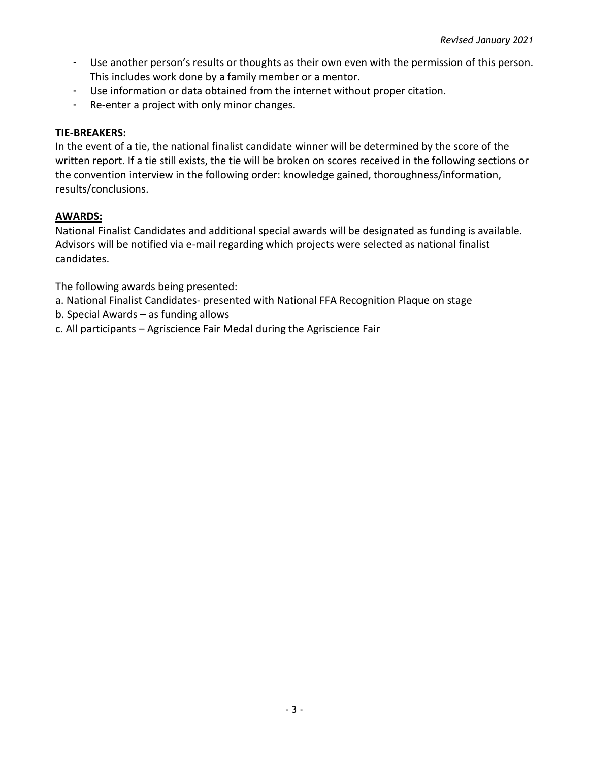- Use another person's results or thoughts as their own even with the permission of this person. This includes work done by a family member or a mentor.
- Use information or data obtained from the internet without proper citation.
- Re-enter a project with only minor changes.

#### **TIE-BREAKERS:**

In the event of a tie, the national finalist candidate winner will be determined by the score of the written report. If a tie still exists, the tie will be broken on scores received in the following sections or the convention interview in the following order: knowledge gained, thoroughness/information, results/conclusions.

#### **AWARDS:**

National Finalist Candidates and additional special awards will be designated as funding is available. Advisors will be notified via e-mail regarding which projects were selected as national finalist candidates.

The following awards being presented:

- a. National Finalist Candidates- presented with National FFA Recognition Plaque on stage
- b. Special Awards as funding allows
- c. All participants Agriscience Fair Medal during the Agriscience Fair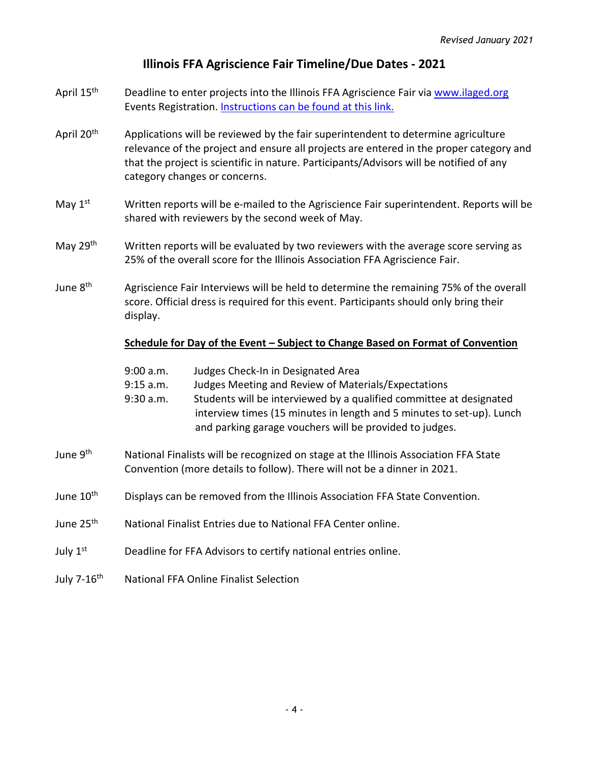#### **Illinois FFA Agriscience Fair Timeline/Due Dates - 2021**

- April 15<sup>th</sup> Deadline to enter projects into the Illinois FFA Agriscience Fair via [www.ilaged.org](http://www.ilaged.org/) Events Registration. [Instructions can be found at this link.](https://www.ilaged.org/docs/events/91352_Agriscience%20Fair%20Upload%20Instructions.pdf)
- April  $20<sup>th</sup>$  Applications will be reviewed by the fair superintendent to determine agriculture relevance of the project and ensure all projects are entered in the proper category and that the project is scientific in nature. Participants/Advisors will be notified of any category changes or concerns.
- May 1<sup>st</sup> Written reports will be e-mailed to the Agriscience Fair superintendent. Reports will be shared with reviewers by the second week of May.
- May  $29<sup>th</sup>$  Written reports will be evaluated by two reviewers with the average score serving as 25% of the overall score for the Illinois Association FFA Agriscience Fair.
- June 8<sup>th</sup> Agriscience Fair Interviews will be held to determine the remaining 75% of the overall score. Official dress is required for this event. Participants should only bring their display.

#### **Schedule for Day of the Event – Subject to Change Based on Format of Convention**

- 9:00 a.m. Judges Check-In in Designated Area
- 9:15 a.m. Judges Meeting and Review of Materials/Expectations
- 9:30 a.m. Students will be interviewed by a qualified committee at designated interview times (15 minutes in length and 5 minutes to set-up). Lunch and parking garage vouchers will be provided to judges.
- June 9<sup>th</sup> National Finalists will be recognized on stage at the Illinois Association FFA State Convention (more details to follow). There will not be a dinner in 2021.
- June 10<sup>th</sup> Displays can be removed from the Illinois Association FFA State Convention.
- June 25<sup>th</sup> National Finalist Entries due to National FFA Center online.
- July  $1<sup>st</sup>$  Deadline for FFA Advisors to certify national entries online.
- July 7-16<sup>th</sup> National FFA Online Finalist Selection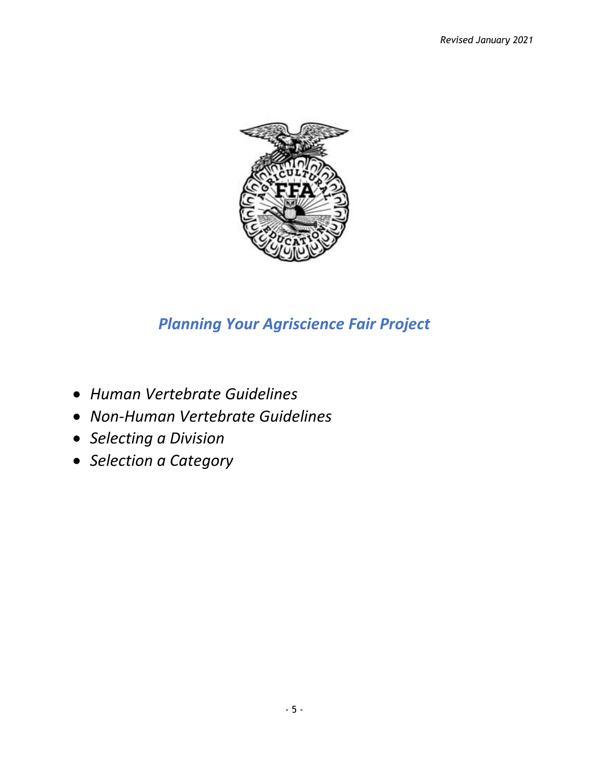

# *Planning Your Agriscience Fair Project*

- *Human Vertebrate Guidelines*
- *Non-Human Vertebrate Guidelines*
- *Selecting a Division*
- *Selection a Category*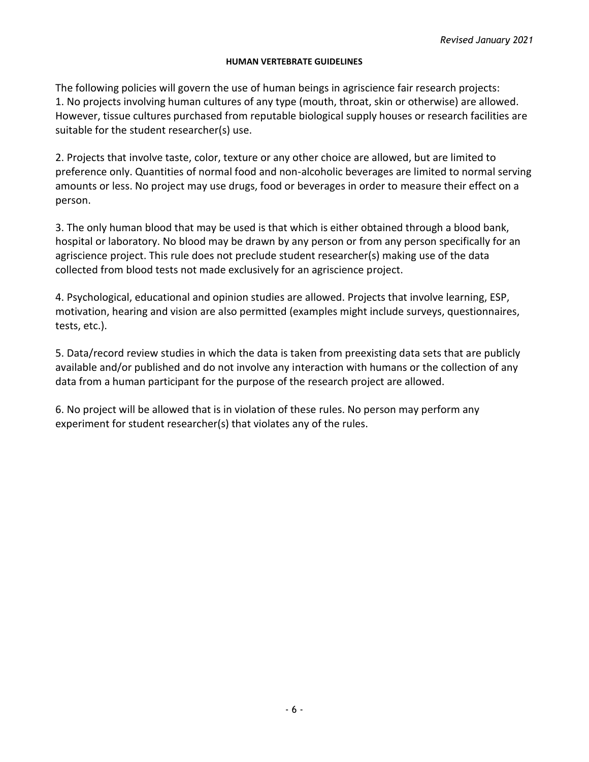#### **HUMAN VERTEBRATE GUIDELINES**

The following policies will govern the use of human beings in agriscience fair research projects: 1. No projects involving human cultures of any type (mouth, throat, skin or otherwise) are allowed. However, tissue cultures purchased from reputable biological supply houses or research facilities are suitable for the student researcher(s) use.

2. Projects that involve taste, color, texture or any other choice are allowed, but are limited to preference only. Quantities of normal food and non-alcoholic beverages are limited to normal serving amounts or less. No project may use drugs, food or beverages in order to measure their effect on a person.

3. The only human blood that may be used is that which is either obtained through a blood bank, hospital or laboratory. No blood may be drawn by any person or from any person specifically for an agriscience project. This rule does not preclude student researcher(s) making use of the data collected from blood tests not made exclusively for an agriscience project.

4. Psychological, educational and opinion studies are allowed. Projects that involve learning, ESP, motivation, hearing and vision are also permitted (examples might include surveys, questionnaires, tests, etc.).

5. Data/record review studies in which the data is taken from preexisting data sets that are publicly available and/or published and do not involve any interaction with humans or the collection of any data from a human participant for the purpose of the research project are allowed.

6. No project will be allowed that is in violation of these rules. No person may perform any experiment for student researcher(s) that violates any of the rules.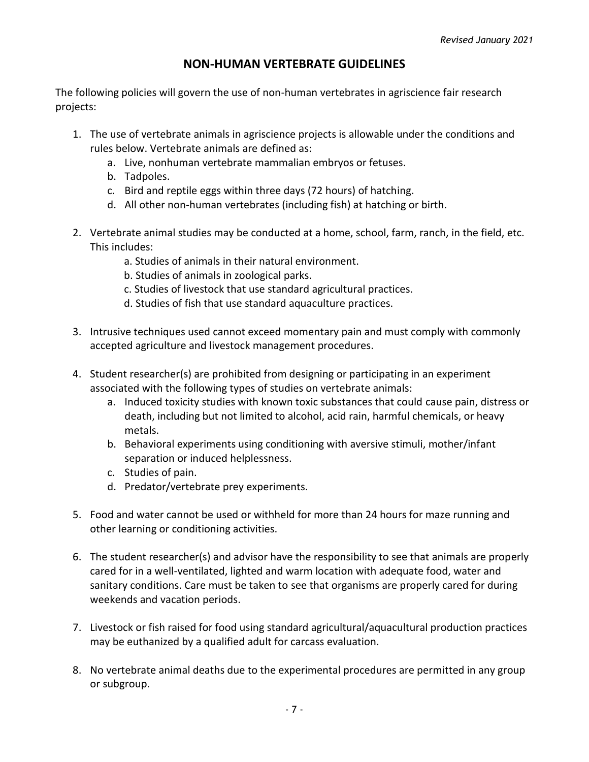#### **NON-HUMAN VERTEBRATE GUIDELINES**

The following policies will govern the use of non-human vertebrates in agriscience fair research projects:

- 1. The use of vertebrate animals in agriscience projects is allowable under the conditions and rules below. Vertebrate animals are defined as:
	- a. Live, nonhuman vertebrate mammalian embryos or fetuses.
	- b. Tadpoles.
	- c. Bird and reptile eggs within three days (72 hours) of hatching.
	- d. All other non-human vertebrates (including fish) at hatching or birth.
- 2. Vertebrate animal studies may be conducted at a home, school, farm, ranch, in the field, etc. This includes:
	- a. Studies of animals in their natural environment.
	- b. Studies of animals in zoological parks.
	- c. Studies of livestock that use standard agricultural practices.
	- d. Studies of fish that use standard aquaculture practices.
- 3. Intrusive techniques used cannot exceed momentary pain and must comply with commonly accepted agriculture and livestock management procedures.
- 4. Student researcher(s) are prohibited from designing or participating in an experiment associated with the following types of studies on vertebrate animals:
	- a. Induced toxicity studies with known toxic substances that could cause pain, distress or death, including but not limited to alcohol, acid rain, harmful chemicals, or heavy metals.
	- b. Behavioral experiments using conditioning with aversive stimuli, mother/infant separation or induced helplessness.
	- c. Studies of pain.
	- d. Predator/vertebrate prey experiments.
- 5. Food and water cannot be used or withheld for more than 24 hours for maze running and other learning or conditioning activities.
- 6. The student researcher(s) and advisor have the responsibility to see that animals are properly cared for in a well-ventilated, lighted and warm location with adequate food, water and sanitary conditions. Care must be taken to see that organisms are properly cared for during weekends and vacation periods.
- 7. Livestock or fish raised for food using standard agricultural/aquacultural production practices may be euthanized by a qualified adult for carcass evaluation.
- 8. No vertebrate animal deaths due to the experimental procedures are permitted in any group or subgroup.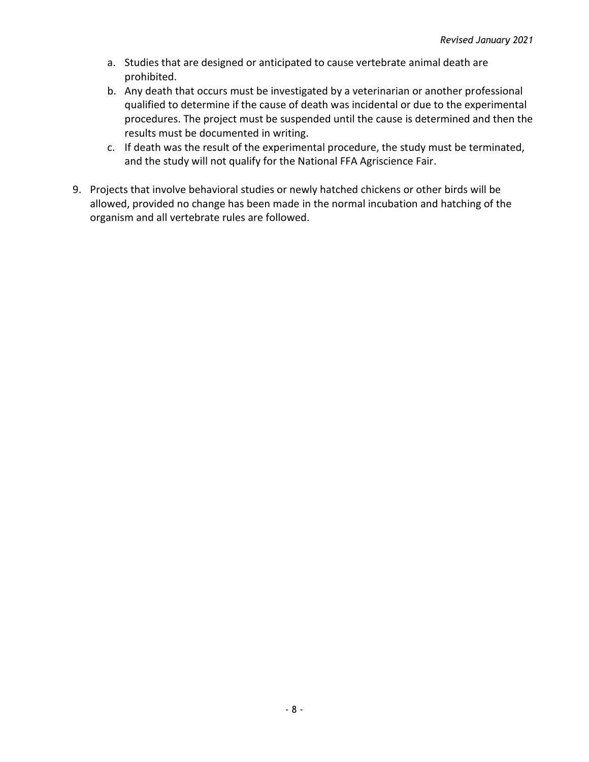- a. Studies that are designed or anticipated to cause vertebrate animal death are prohibited.
- b. Any death that occurs must be investigated by a veterinarian or another professional qualified to determine if the cause of death was incidental or due to the experimental procedures. The project must be suspended until the cause is determined and then the results must be documented in writing.
- c. If death was the result of the experimental procedure, the study must be terminated, and the study will not qualify for the National FFA Agriscience Fair.
- 9. Projects that involve behavioral studies or newly hatched chickens or other birds will be allowed, provided no change has been made in the normal incubation and hatching of the organism and all vertebrate rules are followed.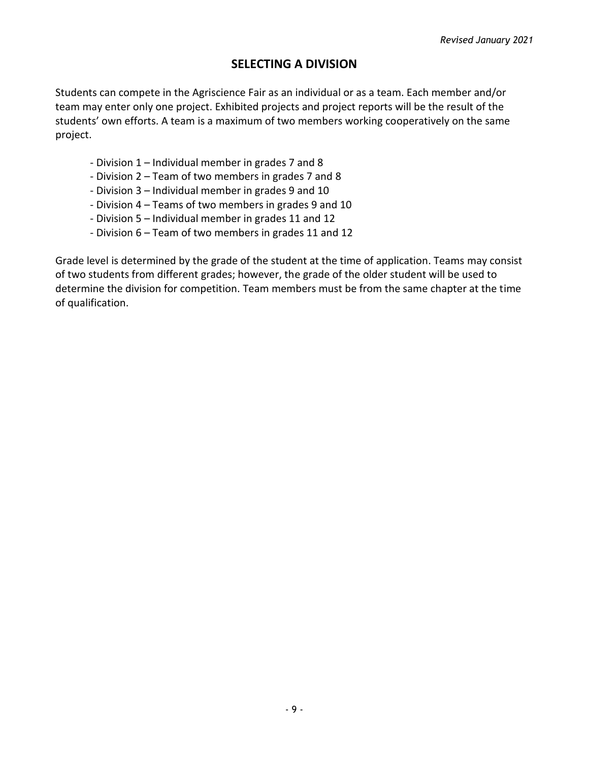### **SELECTING A DIVISION**

Students can compete in the Agriscience Fair as an individual or as a team. Each member and/or team may enter only one project. Exhibited projects and project reports will be the result of the students' own efforts. A team is a maximum of two members working cooperatively on the same project.

- Division 1 Individual member in grades 7 and 8
- Division 2 Team of two members in grades 7 and 8
- Division 3 Individual member in grades 9 and 10
- Division 4 Teams of two members in grades 9 and 10
- Division 5 Individual member in grades 11 and 12
- Division 6 Team of two members in grades 11 and 12

Grade level is determined by the grade of the student at the time of application. Teams may consist of two students from different grades; however, the grade of the older student will be used to determine the division for competition. Team members must be from the same chapter at the time of qualification.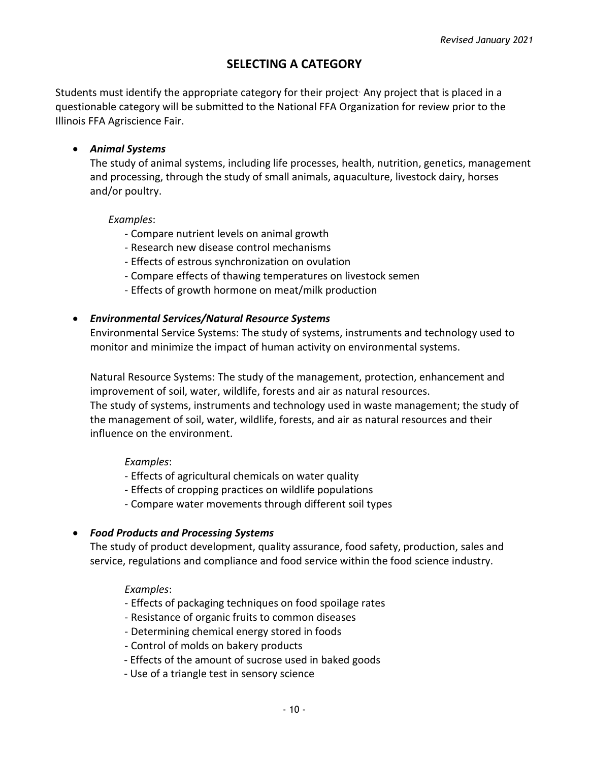### **SELECTING A CATEGORY**

Students must identify the appropriate category for their project. Any project that is placed in a questionable category will be submitted to the National FFA Organization for review prior to the Illinois FFA Agriscience Fair.

#### • *Animal Systems*

The study of animal systems, including life processes, health, nutrition, genetics, management and processing, through the study of small animals, aquaculture, livestock dairy, horses and/or poultry.

#### *Examples*:

- Compare nutrient levels on animal growth
- Research new disease control mechanisms
- Effects of estrous synchronization on ovulation
- Compare effects of thawing temperatures on livestock semen
- Effects of growth hormone on meat/milk production

#### • *Environmental Services/Natural Resource Systems*

Environmental Service Systems: The study of systems, instruments and technology used to monitor and minimize the impact of human activity on environmental systems.

Natural Resource Systems: The study of the management, protection, enhancement and improvement of soil, water, wildlife, forests and air as natural resources. The study of systems, instruments and technology used in waste management; the study of the management of soil, water, wildlife, forests, and air as natural resources and their influence on the environment.

#### *Examples*:

- Effects of agricultural chemicals on water quality
- Effects of cropping practices on wildlife populations
- Compare water movements through different soil types

#### • *Food Products and Processing Systems*

The study of product development, quality assurance, food safety, production, sales and service, regulations and compliance and food service within the food science industry.

#### *Examples*:

- Effects of packaging techniques on food spoilage rates
- Resistance of organic fruits to common diseases
- Determining chemical energy stored in foods
- Control of molds on bakery products
- Effects of the amount of sucrose used in baked goods
- Use of a triangle test in sensory science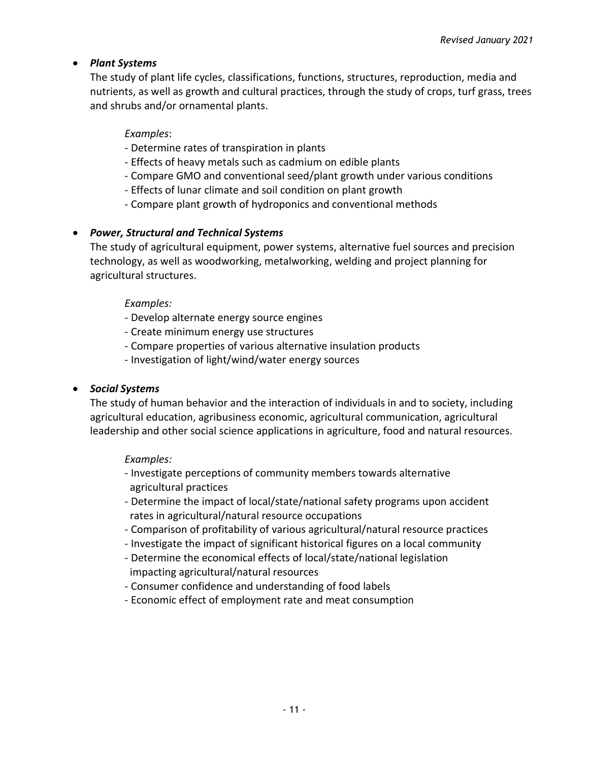#### • *Plant Systems*

The study of plant life cycles, classifications, functions, structures, reproduction, media and nutrients, as well as growth and cultural practices, through the study of crops, turf grass, trees and shrubs and/or ornamental plants.

#### *Examples*:

- Determine rates of transpiration in plants
- Effects of heavy metals such as cadmium on edible plants
- Compare GMO and conventional seed/plant growth under various conditions
- Effects of lunar climate and soil condition on plant growth
- Compare plant growth of hydroponics and conventional methods

#### • *Power, Structural and Technical Systems*

The study of agricultural equipment, power systems, alternative fuel sources and precision technology, as well as woodworking, metalworking, welding and project planning for agricultural structures.

#### *Examples:*

- Develop alternate energy source engines
- Create minimum energy use structures
- Compare properties of various alternative insulation products
- Investigation of light/wind/water energy sources

#### • *Social Systems*

The study of human behavior and the interaction of individuals in and to society, including agricultural education, agribusiness economic, agricultural communication, agricultural leadership and other social science applications in agriculture, food and natural resources.

#### *Examples:*

- Investigate perceptions of community members towards alternative agricultural practices
- Determine the impact of local/state/national safety programs upon accident rates in agricultural/natural resource occupations
- Comparison of profitability of various agricultural/natural resource practices
- Investigate the impact of significant historical figures on a local community
- Determine the economical effects of local/state/national legislation impacting agricultural/natural resources
- *-* Consumer confidence and understanding of food labels
- Economic effect of employment rate and meat consumption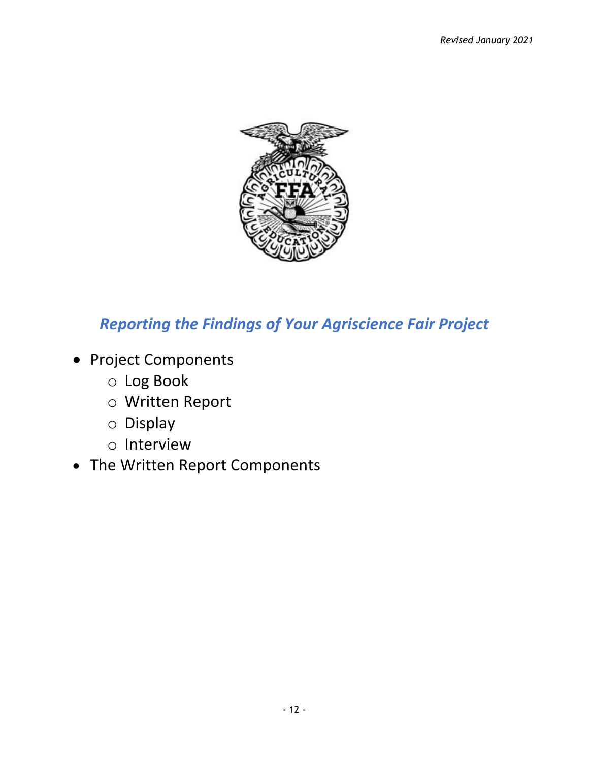

## *Reporting the Findings of Your Agriscience Fair Project*

- Project Components
	- o Log Book
	- o Written Report
	- o Display
	- o Interview
- The Written Report Components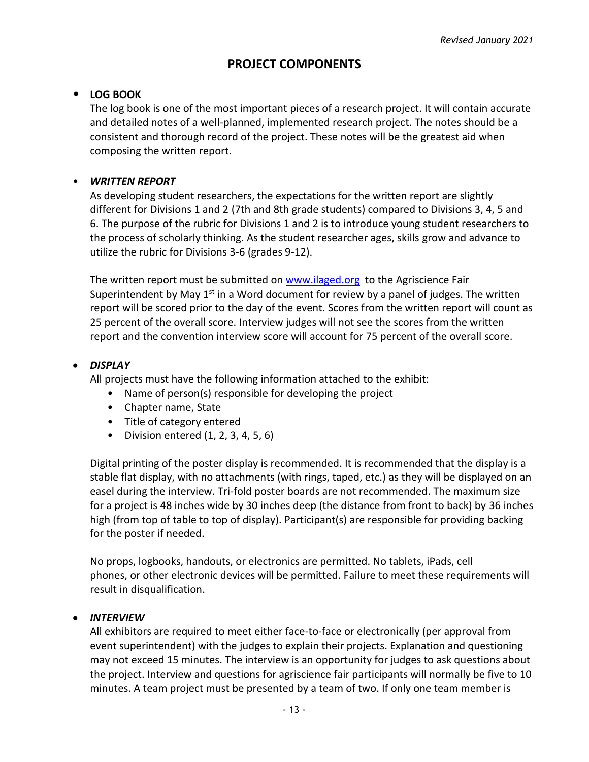### **PROJECT COMPONENTS**

#### • **LOG BOOK**

The log book is one of the most important pieces of a research project. It will contain accurate and detailed notes of a well-planned, implemented research project. The notes should be a consistent and thorough record of the project. These notes will be the greatest aid when composing the written report.

#### • *WRITTEN REPORT*

As developing student researchers, the expectations for the written report are slightly different for Divisions 1 and 2 (7th and 8th grade students) compared to Divisions 3, 4, 5 and 6. The purpose of the rubric for Divisions 1 and 2 is to introduce young student researchers to the process of scholarly thinking. As the student researcher ages, skills grow and advance to utilize the rubric for Divisions 3-6 (grades 9-12).

The written report must be submitted on [www.ilaged.org](http://www.ilaged.org/) to the Agriscience Fair Superintendent by May  $1<sup>st</sup>$  in a Word document for review by a panel of judges. The written report will be scored prior to the day of the event. Scores from the written report will count as 25 percent of the overall score. Interview judges will not see the scores from the written report and the convention interview score will account for 75 percent of the overall score.

#### • *DISPLAY*

All projects must have the following information attached to the exhibit:

- Name of person(s) responsible for developing the project
- Chapter name, State
- Title of category entered
- Division entered  $(1, 2, 3, 4, 5, 6)$

Digital printing of the poster display is recommended. It is recommended that the display is a stable flat display, with no attachments (with rings, taped, etc.) as they will be displayed on an easel during the interview. Tri-fold poster boards are not recommended. The maximum size for a project is 48 inches wide by 30 inches deep (the distance from front to back) by 36 inches high (from top of table to top of display). Participant(s) are responsible for providing backing for the poster if needed.

No props, logbooks, handouts, or electronics are permitted. No tablets, iPads, cell phones, or other electronic devices will be permitted. Failure to meet these requirements will result in disqualification.

#### • *INTERVIEW*

All exhibitors are required to meet either face-to-face or electronically (per approval from event superintendent) with the judges to explain their projects. Explanation and questioning may not exceed 15 minutes. The interview is an opportunity for judges to ask questions about the project. Interview and questions for agriscience fair participants will normally be five to 10 minutes. A team project must be presented by a team of two. If only one team member is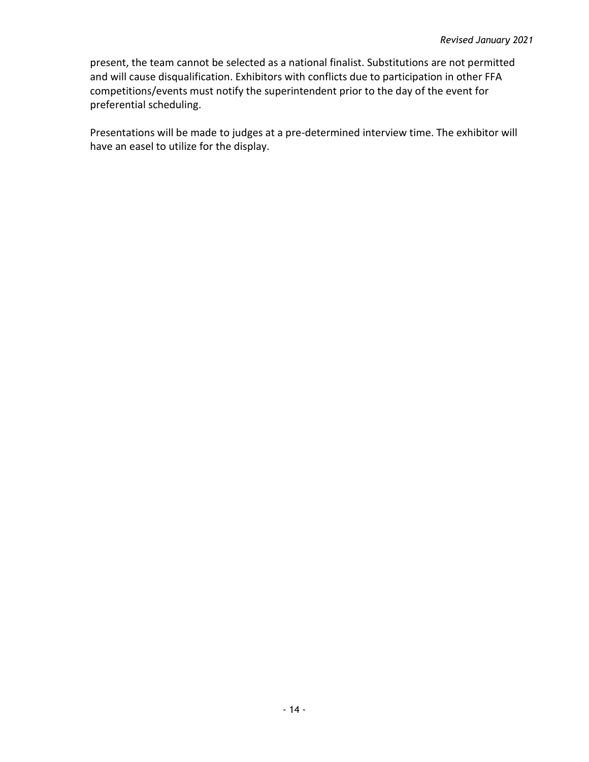present, the team cannot be selected as a national finalist. Substitutions are not permitted and will cause disqualification. Exhibitors with conflicts due to participation in other FFA competitions/events must notify the superintendent prior to the day of the event for preferential scheduling.

Presentations will be made to judges at a pre-determined interview time. The exhibitor will have an easel to utilize for the display.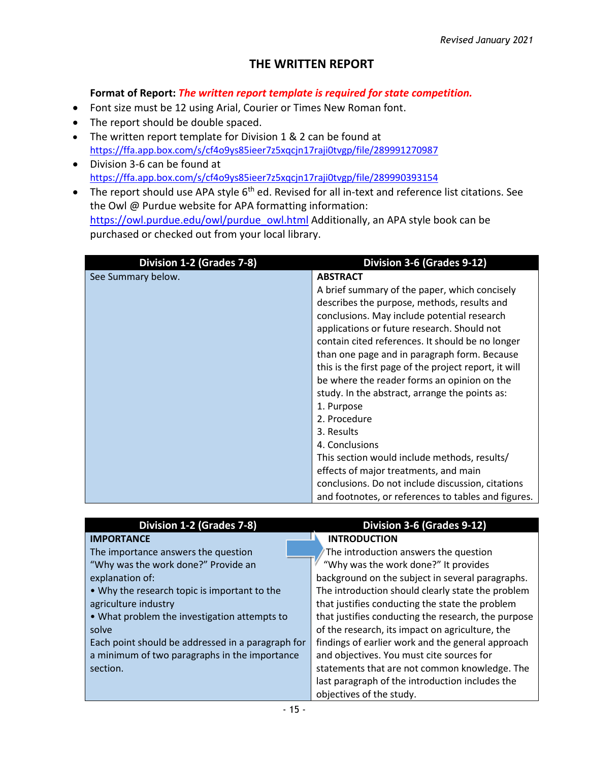### **THE WRITTEN REPORT**

#### **Format of Report:** *The written report template is required for state competition.*

- Font size must be 12 using Arial, Courier or Times New Roman font.
- The report should be double spaced.
- The written report template for Division 1 & 2 can be found at <https://ffa.app.box.com/s/cf4o9ys85ieer7z5xqcjn17raji0tvgp/file/289991270987>
- Division 3-6 can be found at <https://ffa.app.box.com/s/cf4o9ys85ieer7z5xqcjn17raji0tvgp/file/289990393154>
- The report should use APA style  $6<sup>th</sup>$  ed. Revised for all in-text and reference list citations. See the Owl @ Purdue website for APA formatting information: [https://owl.purdue.edu/owl/purdue\\_owl.html](https://owl.purdue.edu/owl/purdue_owl.html) Additionally, an APA style book can be purchased or checked out from your local library.

| Division 1-2 (Grades 7-8) | Division 3-6 (Grades 9-12)                            |
|---------------------------|-------------------------------------------------------|
| See Summary below.        | <b>ABSTRACT</b>                                       |
|                           | A brief summary of the paper, which concisely         |
|                           | describes the purpose, methods, results and           |
|                           | conclusions. May include potential research           |
|                           | applications or future research. Should not           |
|                           | contain cited references. It should be no longer      |
|                           | than one page and in paragraph form. Because          |
|                           | this is the first page of the project report, it will |
|                           | be where the reader forms an opinion on the           |
|                           | study. In the abstract, arrange the points as:        |
|                           | 1. Purpose                                            |
|                           | 2. Procedure                                          |
|                           | 3. Results                                            |
|                           | 4. Conclusions                                        |
|                           | This section would include methods, results/          |
|                           | effects of major treatments, and main                 |
|                           | conclusions. Do not include discussion, citations     |
|                           | and footnotes, or references to tables and figures.   |

| Division 1-2 (Grades 7-8)                         | Division 3-6 (Grades 9-12)                          |
|---------------------------------------------------|-----------------------------------------------------|
| <b>IMPORTANCE</b>                                 | <b>INTRODUCTION</b>                                 |
| The importance answers the question               | The introduction answers the question               |
| "Why was the work done?" Provide an               | "Why was the work done?" It provides                |
| explanation of:                                   | background on the subject in several paragraphs.    |
| . Why the research topic is important to the      | The introduction should clearly state the problem   |
| agriculture industry                              | that justifies conducting the state the problem     |
| • What problem the investigation attempts to      | that justifies conducting the research, the purpose |
| solve                                             | of the research, its impact on agriculture, the     |
| Each point should be addressed in a paragraph for | findings of earlier work and the general approach   |
| a minimum of two paragraphs in the importance     | and objectives. You must cite sources for           |
| section.                                          | statements that are not common knowledge. The       |
|                                                   | last paragraph of the introduction includes the     |
|                                                   | objectives of the study.                            |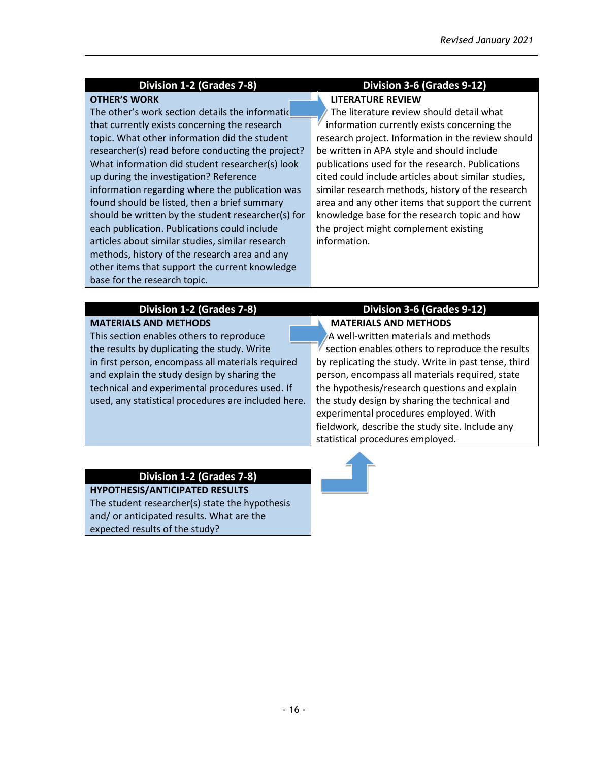#### **OTHER'S WORK**

The other's work section details the information that currently exists concerning the research topic. What other information did the student researcher(s) read before conducting the project? What information did student researcher(s) look up during the investigation? Reference information regarding where the publication was found should be listed, then a brief summary should be written by the student researcher(s) for each publication. Publications could include articles about similar studies, similar research methods, history of the research area and any other items that support the current knowledge base for the research topic.

# **Division 1-2 (Grades 7-8) Division 3-6 (Grades 9-12)**

#### **LITERATURE REVIEW**

 The literature review should detail what information currently exists concerning the research project. Information in the review should be written in APA style and should include publications used for the research. Publications cited could include articles about similar studies, similar research methods, history of the research area and any other items that support the current knowledge base for the research topic and how the project might complement existing information.

| Division 1-2 (Grades 7-8)                           | Division 3-6 (Grades 9-12)                           |
|-----------------------------------------------------|------------------------------------------------------|
| <b>MATERIALS AND METHODS</b>                        | <b>MATERIALS AND METHODS</b>                         |
| This section enables others to reproduce            | A well-written materials and methods                 |
| the results by duplicating the study. Write         | section enables others to reproduce the results      |
| in first person, encompass all materials required   | by replicating the study. Write in past tense, third |
| and explain the study design by sharing the         | person, encompass all materials required, state      |
| technical and experimental procedures used. If      | the hypothesis/research questions and explain        |
| used, any statistical procedures are included here. | the study design by sharing the technical and        |
|                                                     | experimental procedures employed. With               |
|                                                     | fieldwork, describe the study site. Include any      |
|                                                     | statistical procedures employed.                     |

#### **Division 1-2 (Grades 7-8)**

**HYPOTHESIS/ANTICIPATED RESULTS** The student researcher(s) state the hypothesis and/ or anticipated results. What are the expected results of the study?

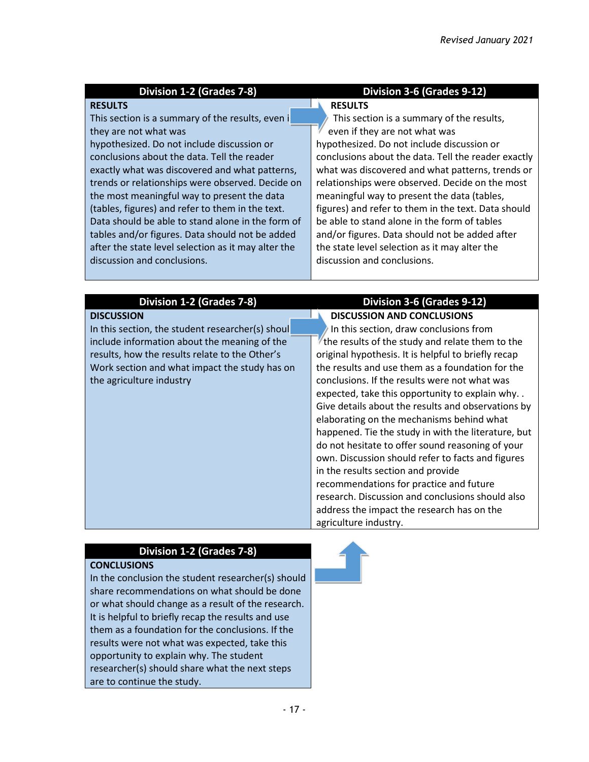#### **RESULTS**

This section is a summary of the results, even i they are not what was

hypothesized. Do not include discussion or conclusions about the data. Tell the reader exactly what was discovered and what patterns, trends or relationships were observed. Decide on the most meaningful way to present the data (tables, figures) and refer to them in the text. Data should be able to stand alone in the form of tables and/or figures. Data should not be added after the state level selection as it may alter the discussion and conclusions.

#### **Division 1-2 (Grades 7-8) Division 3-6 (Grades 9-12)**

**RESULTS** 

 This section is a summary of the results, even if they are not what was hypothesized. Do not include discussion or conclusions about the data. Tell the reader exactly what was discovered and what patterns, trends or relationships were observed. Decide on the most meaningful way to present the data (tables, figures) and refer to them in the text. Data should be able to stand alone in the form of tables and/or figures. Data should not be added after the state level selection as it may alter the discussion and conclusions.

| Division 1-2 (Grades 7-8)                        | Division 3-6 (Grades 9-12)                          |
|--------------------------------------------------|-----------------------------------------------------|
| <b>DISCUSSION</b>                                | <b>DISCUSSION AND CONCLUSIONS</b>                   |
| In this section, the student researcher(s) shoul | In this section, draw conclusions from              |
| include information about the meaning of the     | The results of the study and relate them to the     |
| results, how the results relate to the Other's   | original hypothesis. It is helpful to briefly recap |
| Work section and what impact the study has on    | the results and use them as a foundation for the    |
| the agriculture industry                         | conclusions. If the results were not what was       |
|                                                  | expected, take this opportunity to explain why      |
|                                                  | Give details about the results and observations by  |
|                                                  | elaborating on the mechanisms behind what           |
|                                                  | happened. Tie the study in with the literature, but |
|                                                  | do not hesitate to offer sound reasoning of your    |
|                                                  | own. Discussion should refer to facts and figures   |
|                                                  | in the results section and provide                  |
|                                                  | recommendations for practice and future             |
|                                                  | research. Discussion and conclusions should also    |
|                                                  | address the impact the research has on the          |
|                                                  | agriculture industry.                               |

#### **Division 1-2 (Grades 7-8)**

#### **CONCLUSIONS**

In the conclusion the student researcher(s) should share recommendations on what should be done or what should change as a result of the research. It is helpful to briefly recap the results and use them as a foundation for the conclusions. If the results were not what was expected, take this opportunity to explain why. The student researcher(s) should share what the next steps are to continue the study.

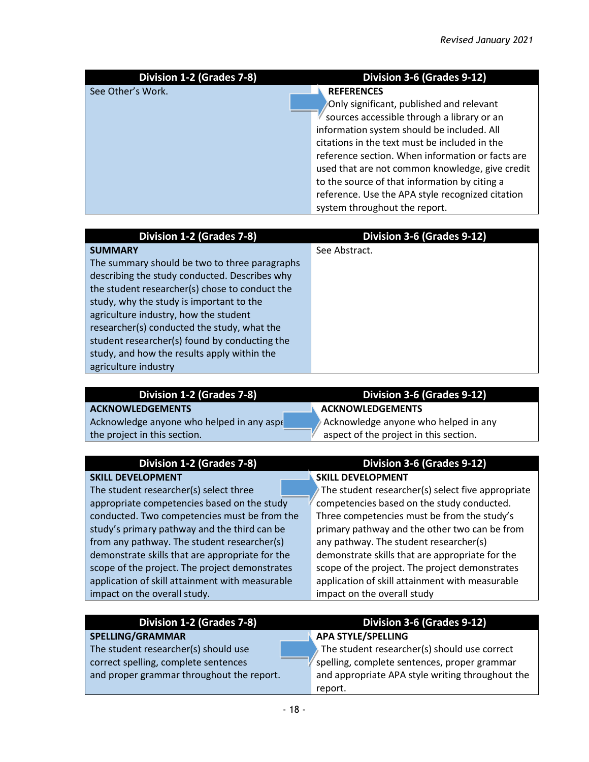| <b>Division 1-2 (Grades 7-8)</b> | Division 3-6 (Grades 9-12)                       |
|----------------------------------|--------------------------------------------------|
| See Other's Work.                | <b>REFERENCES</b>                                |
|                                  | Only significant, published and relevant         |
|                                  | sources accessible through a library or an       |
|                                  | information system should be included. All       |
|                                  | citations in the text must be included in the    |
|                                  | reference section. When information or facts are |
|                                  | used that are not common knowledge, give credit  |
|                                  | to the source of that information by citing a    |
|                                  | reference. Use the APA style recognized citation |
|                                  | system throughout the report.                    |

| Division 1-2 (Grades 7-8)                      | Division 3-6 (Grades 9-12) |
|------------------------------------------------|----------------------------|
| <b>SUMMARY</b>                                 | See Abstract.              |
| The summary should be two to three paragraphs  |                            |
| describing the study conducted. Describes why  |                            |
| the student researcher(s) chose to conduct the |                            |
| study, why the study is important to the       |                            |
| agriculture industry, how the student          |                            |
| researcher(s) conducted the study, what the    |                            |
| student researcher(s) found by conducting the  |                            |
| study, and how the results apply within the    |                            |
| agriculture industry                           |                            |

| Division 1-2 (Grades 7-8)                 | Division 3-6 (Grades 9-12)             |
|-------------------------------------------|----------------------------------------|
| <b>ACKNOWLEDGEMENTS</b>                   | <b>ACKNOWLEDGEMENTS</b>                |
| Acknowledge anyone who helped in any aspe | Acknowledge anyone who helped in any   |
| the project in this section.              | aspect of the project in this section. |
|                                           |                                        |

| Division 1-2 (Grades 7-8)                       |  | Division 3-6 (Grades 9-12)                        |
|-------------------------------------------------|--|---------------------------------------------------|
| <b>SKILL DEVELOPMENT</b>                        |  | <b>SKILL DEVELOPMENT</b>                          |
| The student researcher(s) select three          |  | The student researcher(s) select five appropriate |
| appropriate competencies based on the study     |  | competencies based on the study conducted.        |
| conducted. Two competencies must be from the    |  | Three competencies must be from the study's       |
| study's primary pathway and the third can be    |  | primary pathway and the other two can be from     |
| from any pathway. The student researcher(s)     |  | any pathway. The student researcher(s)            |
| demonstrate skills that are appropriate for the |  | demonstrate skills that are appropriate for the   |
| scope of the project. The project demonstrates  |  | scope of the project. The project demonstrates    |
| application of skill attainment with measurable |  | application of skill attainment with measurable   |
| impact on the overall study.                    |  | impact on the overall study                       |

| Division 1-2 (Grades 7-8)                 | Division 3-6 (Grades 9-12)                       |
|-------------------------------------------|--------------------------------------------------|
| <b>SPELLING/GRAMMAR</b>                   | <b>APA STYLE/SPELLING</b>                        |
| The student researcher(s) should use      | The student researcher(s) should use correct     |
| correct spelling, complete sentences      | spelling, complete sentences, proper grammar     |
| and proper grammar throughout the report. | and appropriate APA style writing throughout the |
|                                           | report.                                          |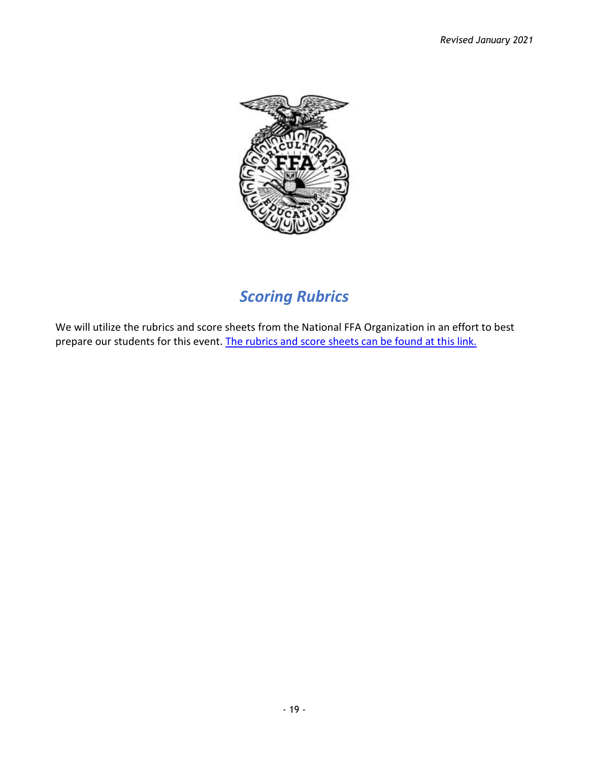

## *Scoring Rubrics*

We will utilize the rubrics and score sheets from the National FFA Organization in an effort to best prepare our students for this event. The [rubrics and score sheets can be found at this link.](https://ffa.app.box.com/s/jh04battc5mth38o897p4r9outj32dlk)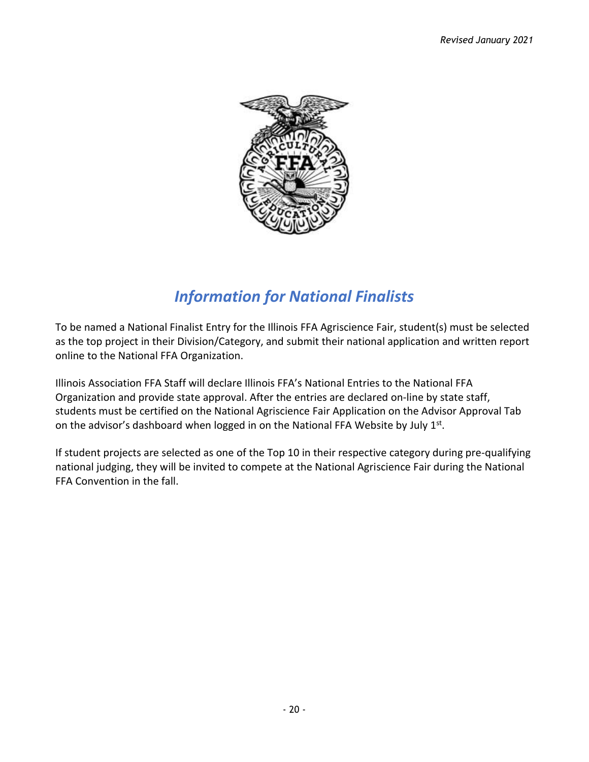

# *Information for National Finalists*

To be named a National Finalist Entry for the Illinois FFA Agriscience Fair, student(s) must be selected as the top project in their Division/Category, and submit their national application and written report online to the National FFA Organization.

Illinois Association FFA Staff will declare Illinois FFA's National Entries to the National FFA Organization and provide state approval. After the entries are declared on-line by state staff, students must be certified on the National Agriscience Fair Application on the Advisor Approval Tab on the advisor's dashboard when logged in on the National FFA Website by July 1st.

If student projects are selected as one of the Top 10 in their respective category during pre-qualifying national judging, they will be invited to compete at the National Agriscience Fair during the National FFA Convention in the fall.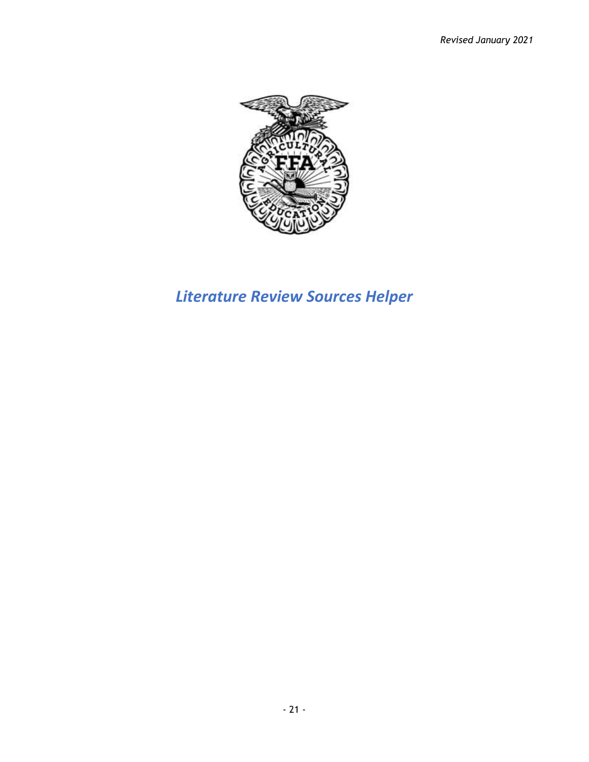

# *Literature Review Sources Helper*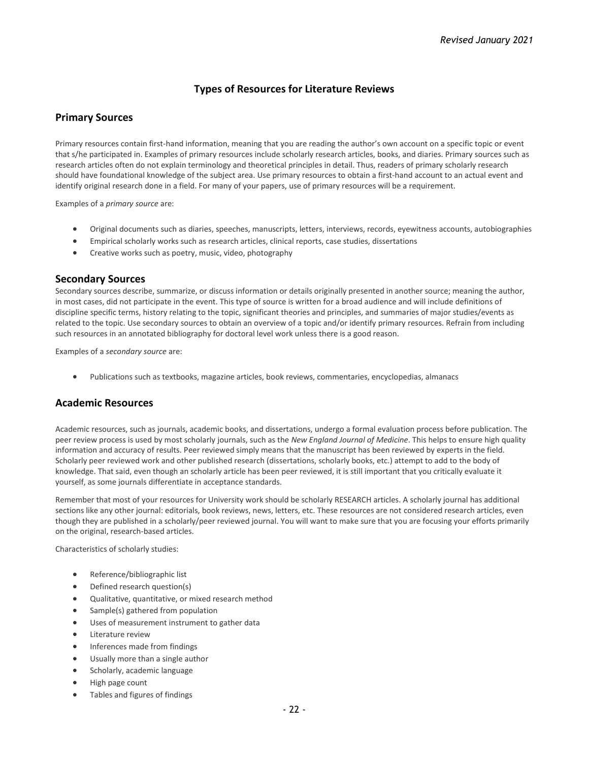#### **Types of Resources for Literature Reviews**

#### **Primary Sources**

Primary resources contain first-hand information, meaning that you are reading the author's own account on a specific topic or event that s/he participated in. Examples of primary resources include scholarly research articles, books, and diaries. Primary sources such as research articles often do not explain terminology and theoretical principles in detail. Thus, readers of primary scholarly research should have foundational knowledge of the subject area. Use primary resources to obtain a first-hand account to an actual event and identify original research done in a field. For many of your papers, use of primary resources will be a requirement.

Examples of a *primary source* are:

- Original documents such as diaries, speeches, manuscripts, letters, interviews, records, eyewitness accounts, autobiographies
- Empirical scholarly works such as research articles, clinical reports, case studies, dissertations
- Creative works such as poetry, music, video, photography

#### **Secondary Sources**

Secondary sources describe, summarize, or discuss information or details originally presented in another source; meaning the author, in most cases, did not participate in the event. This type of source is written for a broad audience and will include definitions of discipline specific terms, history relating to the topic, significant theories and principles, and summaries of major studies/events as related to the topic. Use secondary sources to obtain an overview of a topic and/or identify primary resources. Refrain from including such resources in an annotated bibliography for doctoral level work unless there is a good reason.

Examples of a *secondary source* are:

• Publications such as textbooks, magazine articles, book reviews, commentaries, encyclopedias, almanacs

#### **Academic Resources**

Academic resources, such as journals, academic books, and dissertations, undergo a formal evaluation process before publication. The peer review process is used by most scholarly journals, such as the *New England Journal of Medicine*. This helps to ensure high quality information and accuracy of results. Peer reviewed simply means that the manuscript has been reviewed by experts in the field. Scholarly peer reviewed work and other published research (dissertations, scholarly books, etc.) attempt to add to the body of knowledge. That said, even though an scholarly article has been peer reviewed, it is still important that you critically evaluate it yourself, as some journals differentiate in acceptance standards.

Remember that most of your resources for University work should be scholarly RESEARCH articles. A scholarly journal has additional sections like any other journal: editorials, book reviews, news, letters, etc. These resources are not considered research articles, even though they are published in a scholarly/peer reviewed journal. You will want to make sure that you are focusing your efforts primarily on the original, research-based articles.

Characteristics of scholarly studies:

- Reference/bibliographic list
- Defined research question(s)
- Qualitative, quantitative, or mixed research method
- Sample(s) gathered from population
- Uses of measurement instrument to gather data
- Literature review
- Inferences made from findings
- Usually more than a single author
- Scholarly, academic language
- High page count
- Tables and figures of findings